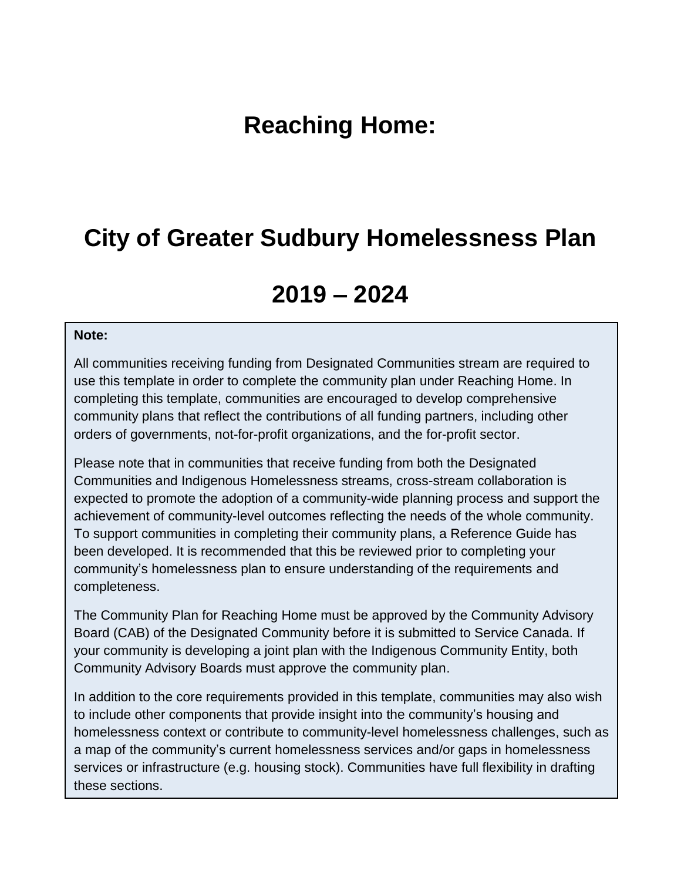# **Reaching Home:**

## **City of Greater Sudbury Homelessness Plan**

# **2019 – 2024**

#### **Note:**

All communities receiving funding from Designated Communities stream are required to use this template in order to complete the community plan under Reaching Home. In completing this template, communities are encouraged to develop comprehensive community plans that reflect the contributions of all funding partners, including other orders of governments, not-for-profit organizations, and the for-profit sector.

Please note that in communities that receive funding from both the Designated Communities and Indigenous Homelessness streams, cross-stream collaboration is expected to promote the adoption of a community-wide planning process and support the achievement of community-level outcomes reflecting the needs of the whole community. To support communities in completing their community plans, a Reference Guide has been developed. It is recommended that this be reviewed prior to completing your community's homelessness plan to ensure understanding of the requirements and completeness.

The Community Plan for Reaching Home must be approved by the Community Advisory Board (CAB) of the Designated Community before it is submitted to Service Canada. If your community is developing a joint plan with the Indigenous Community Entity, both Community Advisory Boards must approve the community plan.

In addition to the core requirements provided in this template, communities may also wish to include other components that provide insight into the community's housing and homelessness context or contribute to community-level homelessness challenges, such as a map of the community's current homelessness services and/or gaps in homelessness services or infrastructure (e.g. housing stock). Communities have full flexibility in drafting these sections.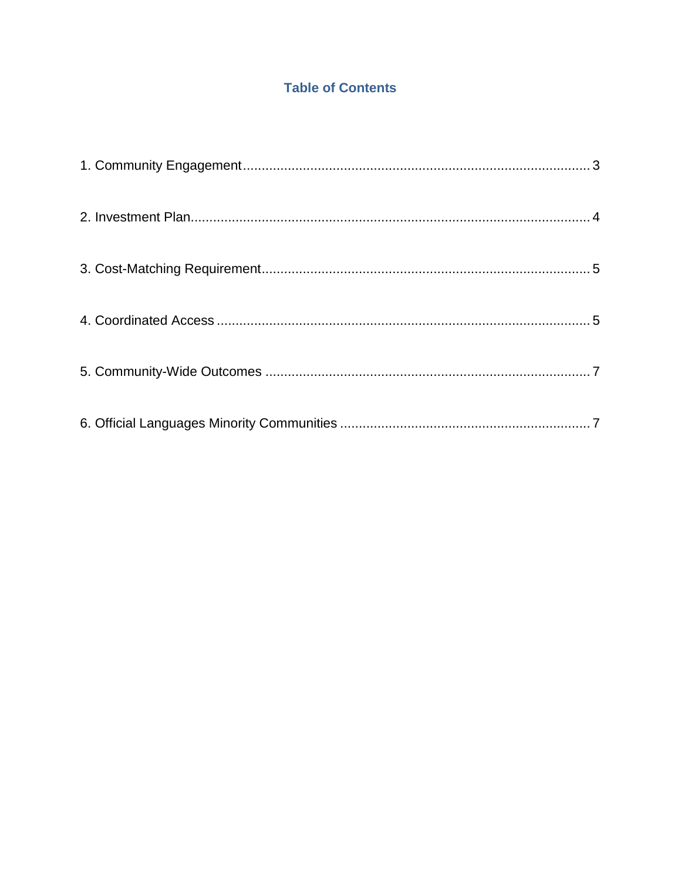## **Table of Contents**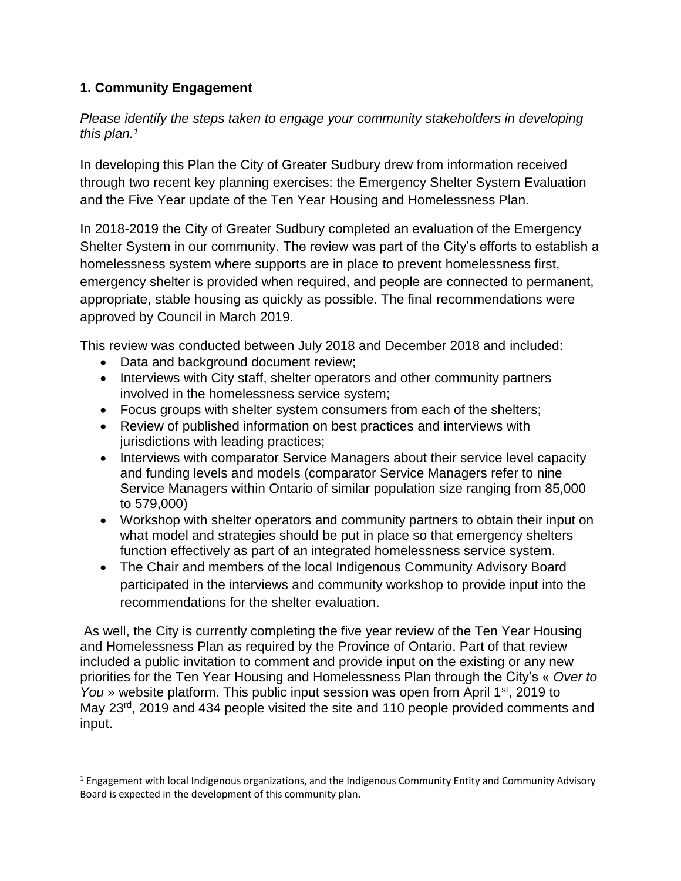## <span id="page-2-0"></span>**1. Community Engagement**

 $\overline{\phantom{a}}$ 

*Please identify the steps taken to engage your community stakeholders in developing this plan. 1*

In developing this Plan the City of Greater Sudbury drew from information received through two recent key planning exercises: the Emergency Shelter System Evaluation and the Five Year update of the Ten Year Housing and Homelessness Plan.

In 2018-2019 the City of Greater Sudbury completed an evaluation of the Emergency Shelter System in our community. The review was part of the City's efforts to establish a homelessness system where supports are in place to prevent homelessness first, emergency shelter is provided when required, and people are connected to permanent, appropriate, stable housing as quickly as possible. The final recommendations were approved by Council in March 2019.

This review was conducted between July 2018 and December 2018 and included:

- Data and background document review;
- Interviews with City staff, shelter operators and other community partners involved in the homelessness service system;
- Focus groups with shelter system consumers from each of the shelters;
- Review of published information on best practices and interviews with jurisdictions with leading practices;
- Interviews with comparator Service Managers about their service level capacity and funding levels and models (comparator Service Managers refer to nine Service Managers within Ontario of similar population size ranging from 85,000 to 579,000)
- Workshop with shelter operators and community partners to obtain their input on what model and strategies should be put in place so that emergency shelters function effectively as part of an integrated homelessness service system.
- The Chair and members of the local Indigenous Community Advisory Board participated in the interviews and community workshop to provide input into the recommendations for the shelter evaluation.

As well, the City is currently completing the five year review of the Ten Year Housing and Homelessness Plan as required by the Province of Ontario. Part of that review included a public invitation to comment and provide input on the existing or any new priorities for the Ten Year Housing and Homelessness Plan through the City's « *Over to You* » website platform. This public input session was open from April 1<sup>st</sup>, 2019 to May 23<sup>rd</sup>, 2019 and 434 people visited the site and 110 people provided comments and input.

 $1$  Engagement with local Indigenous organizations, and the Indigenous Community Entity and Community Advisory Board is expected in the development of this community plan.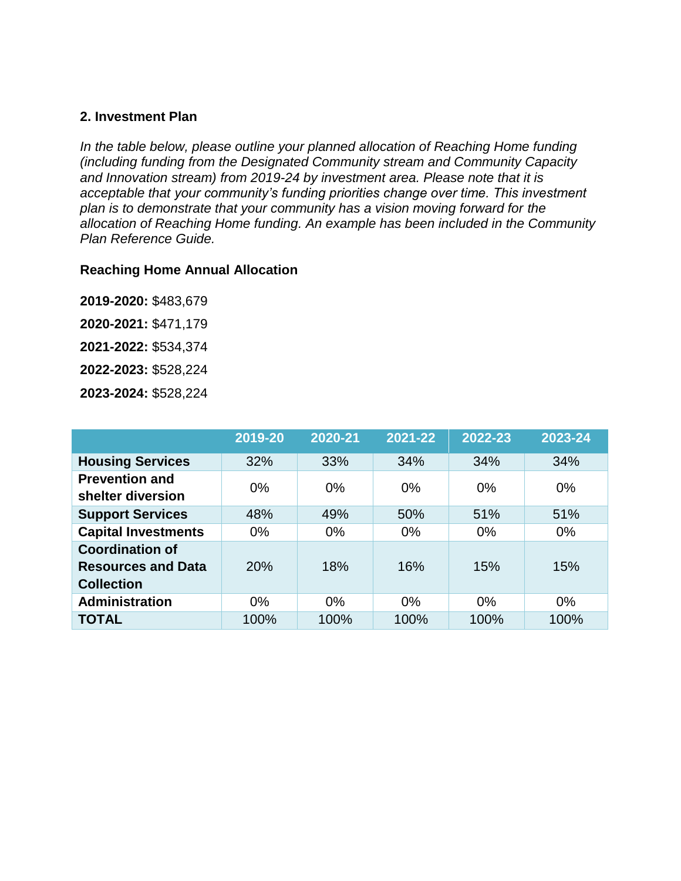#### <span id="page-3-0"></span>**2. Investment Plan**

*In the table below, please outline your planned allocation of Reaching Home funding (including funding from the Designated Community stream and Community Capacity and Innovation stream) from 2019-24 by investment area. Please note that it is acceptable that your community's funding priorities change over time. This investment plan is to demonstrate that your community has a vision moving forward for the allocation of Reaching Home funding. An example has been included in the Community Plan Reference Guide.* 

#### **Reaching Home Annual Allocation**

**2019-2020:** \$483,679

**2020-2021:** \$471,179

**2021-2022:** \$534,374

**2022-2023:** \$528,224

**2023-2024:** \$528,224

|                                                                          | 2019-20 | 2020-21 | 2021-22 | 2022-23 | 2023-24 |
|--------------------------------------------------------------------------|---------|---------|---------|---------|---------|
| <b>Housing Services</b>                                                  | 32%     | 33%     | 34%     | 34%     | 34%     |
| <b>Prevention and</b><br>shelter diversion                               | $0\%$   | 0%      | 0%      | $0\%$   | $0\%$   |
| <b>Support Services</b>                                                  | 48%     | 49%     | 50%     | 51%     | 51%     |
| <b>Capital Investments</b>                                               | $0\%$   | 0%      | 0%      | $0\%$   | $0\%$   |
| <b>Coordination of</b><br><b>Resources and Data</b><br><b>Collection</b> | 20%     | 18%     | 16%     | 15%     | 15%     |
| <b>Administration</b>                                                    | $0\%$   | $0\%$   | 0%      | $0\%$   | $0\%$   |
| <b>TOTAL</b>                                                             | 100%    | 100%    | 100%    | 100%    | 100%    |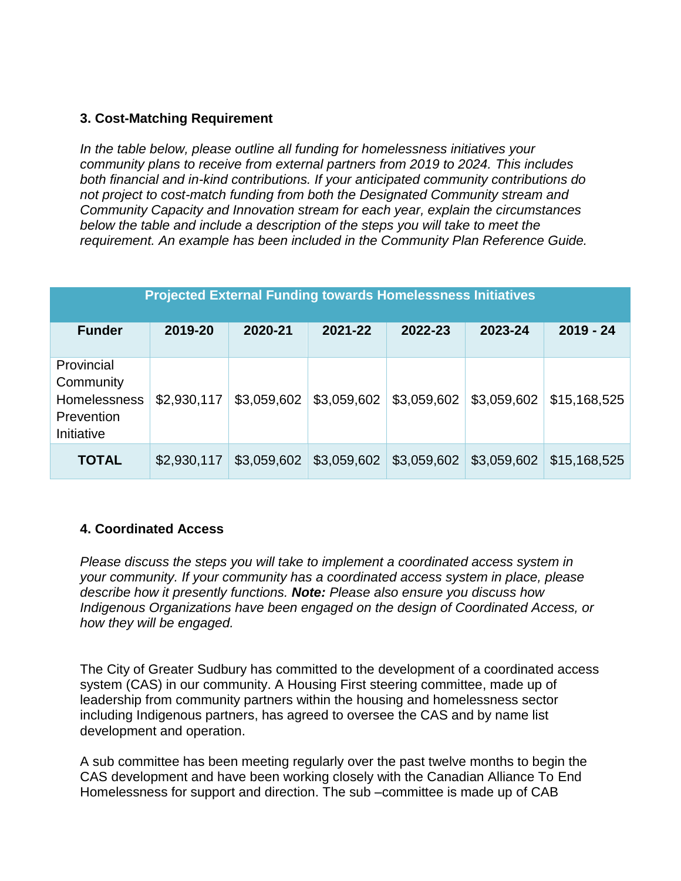### <span id="page-4-0"></span>**3. Cost-Matching Requirement**

*In the table below, please outline all funding for homelessness initiatives your community plans to receive from external partners from 2019 to 2024. This includes both financial and in-kind contributions. If your anticipated community contributions do not project to cost-match funding from both the Designated Community stream and Community Capacity and Innovation stream for each year, explain the circumstances below the table and include a description of the steps you will take to meet the requirement. An example has been included in the Community Plan Reference Guide.*

| <b>Projected External Funding towards Homelessness Initiatives</b>         |             |             |             |             |             |              |  |  |  |
|----------------------------------------------------------------------------|-------------|-------------|-------------|-------------|-------------|--------------|--|--|--|
| <b>Funder</b>                                                              | 2019-20     | 2020-21     | 2021-22     | 2022-23     | 2023-24     | $2019 - 24$  |  |  |  |
|                                                                            |             |             |             |             |             |              |  |  |  |
| Provincial<br>Community<br><b>Homelessness</b><br>Prevention<br>Initiative | \$2,930,117 | \$3,059,602 | \$3,059,602 | \$3,059,602 | \$3,059,602 | \$15,168,525 |  |  |  |
| <b>TOTAL</b>                                                               | \$2,930,117 | \$3,059,602 | \$3,059,602 | \$3,059,602 | \$3,059,602 | \$15,168,525 |  |  |  |

### <span id="page-4-1"></span>**4. Coordinated Access**

*Please discuss the steps you will take to implement a coordinated access system in your community. If your community has a coordinated access system in place, please describe how it presently functions. Note: Please also ensure you discuss how Indigenous Organizations have been engaged on the design of Coordinated Access, or how they will be engaged.* 

The City of Greater Sudbury has committed to the development of a coordinated access system (CAS) in our community. A Housing First steering committee, made up of leadership from community partners within the housing and homelessness sector including Indigenous partners, has agreed to oversee the CAS and by name list development and operation.

A sub committee has been meeting regularly over the past twelve months to begin the CAS development and have been working closely with the Canadian Alliance To End Homelessness for support and direction. The sub –committee is made up of CAB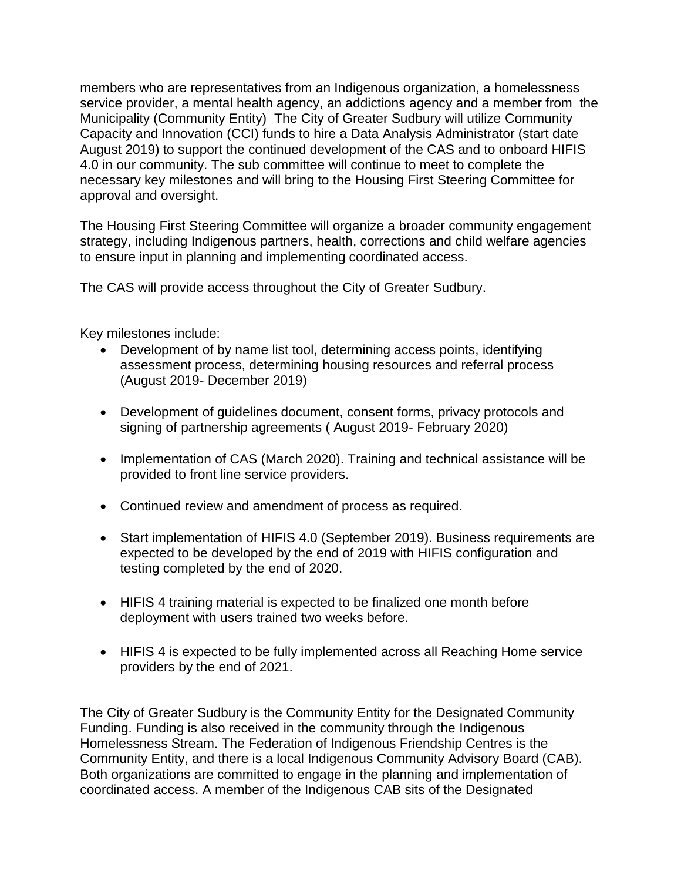members who are representatives from an Indigenous organization, a homelessness service provider, a mental health agency, an addictions agency and a member from the Municipality (Community Entity) The City of Greater Sudbury will utilize Community Capacity and Innovation (CCI) funds to hire a Data Analysis Administrator (start date August 2019) to support the continued development of the CAS and to onboard HIFIS 4.0 in our community. The sub committee will continue to meet to complete the necessary key milestones and will bring to the Housing First Steering Committee for approval and oversight.

The Housing First Steering Committee will organize a broader community engagement strategy, including Indigenous partners, health, corrections and child welfare agencies to ensure input in planning and implementing coordinated access.

The CAS will provide access throughout the City of Greater Sudbury.

Key milestones include:

- Development of by name list tool, determining access points, identifying assessment process, determining housing resources and referral process (August 2019- December 2019)
- Development of guidelines document, consent forms, privacy protocols and signing of partnership agreements ( August 2019- February 2020)
- Implementation of CAS (March 2020). Training and technical assistance will be provided to front line service providers.
- Continued review and amendment of process as required.
- Start implementation of HIFIS 4.0 (September 2019). Business requirements are expected to be developed by the end of 2019 with HIFIS configuration and testing completed by the end of 2020.
- HIFIS 4 training material is expected to be finalized one month before deployment with users trained two weeks before.
- HIFIS 4 is expected to be fully implemented across all Reaching Home service providers by the end of 2021.

The City of Greater Sudbury is the Community Entity for the Designated Community Funding. Funding is also received in the community through the Indigenous Homelessness Stream. The Federation of Indigenous Friendship Centres is the Community Entity, and there is a local Indigenous Community Advisory Board (CAB). Both organizations are committed to engage in the planning and implementation of coordinated access. A member of the Indigenous CAB sits of the Designated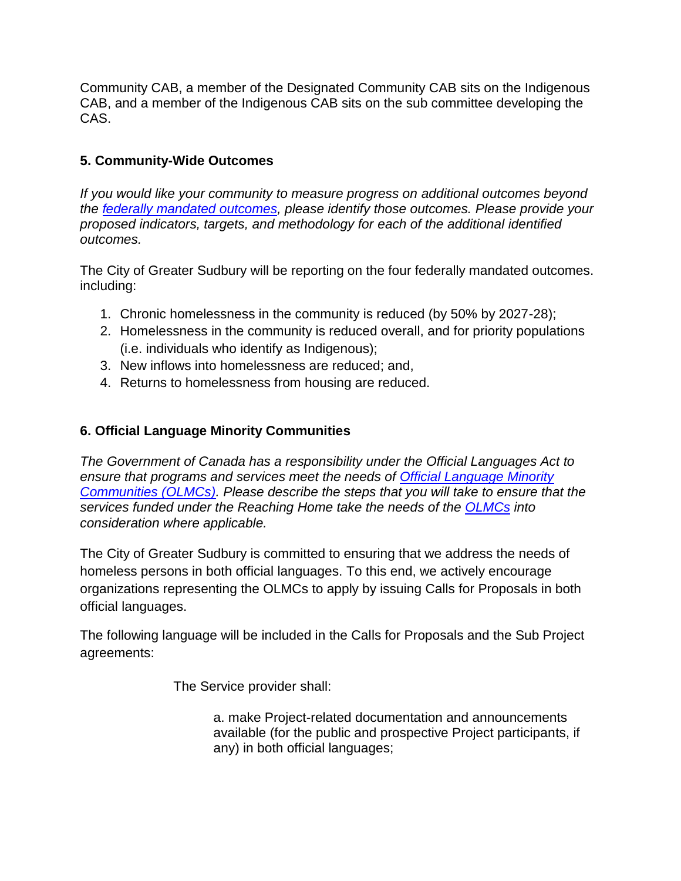Community CAB, a member of the Designated Community CAB sits on the Indigenous CAB, and a member of the Indigenous CAB sits on the sub committee developing the CAS.

## <span id="page-6-0"></span>**5. Community-Wide Outcomes**

*If you would like your community to measure progress on additional outcomes beyond the [federally mandated outcomes,](https://www.canada.ca/en/employment-social-development/programs/homelessness/directives.html#h2.3-h3.3) please identify those outcomes. Please provide your proposed indicators, targets, and methodology for each of the additional identified outcomes.* 

The City of Greater Sudbury will be reporting on the four federally mandated outcomes. including:

- 1. Chronic homelessness in the community is reduced (by 50% by 2027-28);
- 2. Homelessness in the community is reduced overall, and for priority populations (i.e. individuals who identify as Indigenous);
- 3. New inflows into homelessness are reduced; and,
- 4. Returns to homelessness from housing are reduced.

## <span id="page-6-1"></span>**6. Official Language Minority Communities**

*The Government of Canada has a responsibility under the Official Languages Act to ensure that programs and services meet the needs of [Official Language Minority](https://www.canada.ca/en/employment-social-development/programs/homelessness/directives.html#h2.3-h3.7)  [Communities \(OLMCs\).](https://www.canada.ca/en/employment-social-development/programs/homelessness/directives.html#h2.3-h3.7) Please describe the steps that you will take to ensure that the services funded under the Reaching Home take the needs of the [OLMCs](https://www.canada.ca/en/employment-social-development/programs/homelessness/directives.html#h2.3-h3.7) into consideration where applicable.* 

The City of Greater Sudbury is committed to ensuring that we address the needs of homeless persons in both official languages. To this end, we actively encourage organizations representing the OLMCs to apply by issuing Calls for Proposals in both official languages.

The following language will be included in the Calls for Proposals and the Sub Project agreements:

The Service provider shall:

a. make Project-related documentation and announcements available (for the public and prospective Project participants, if any) in both official languages;